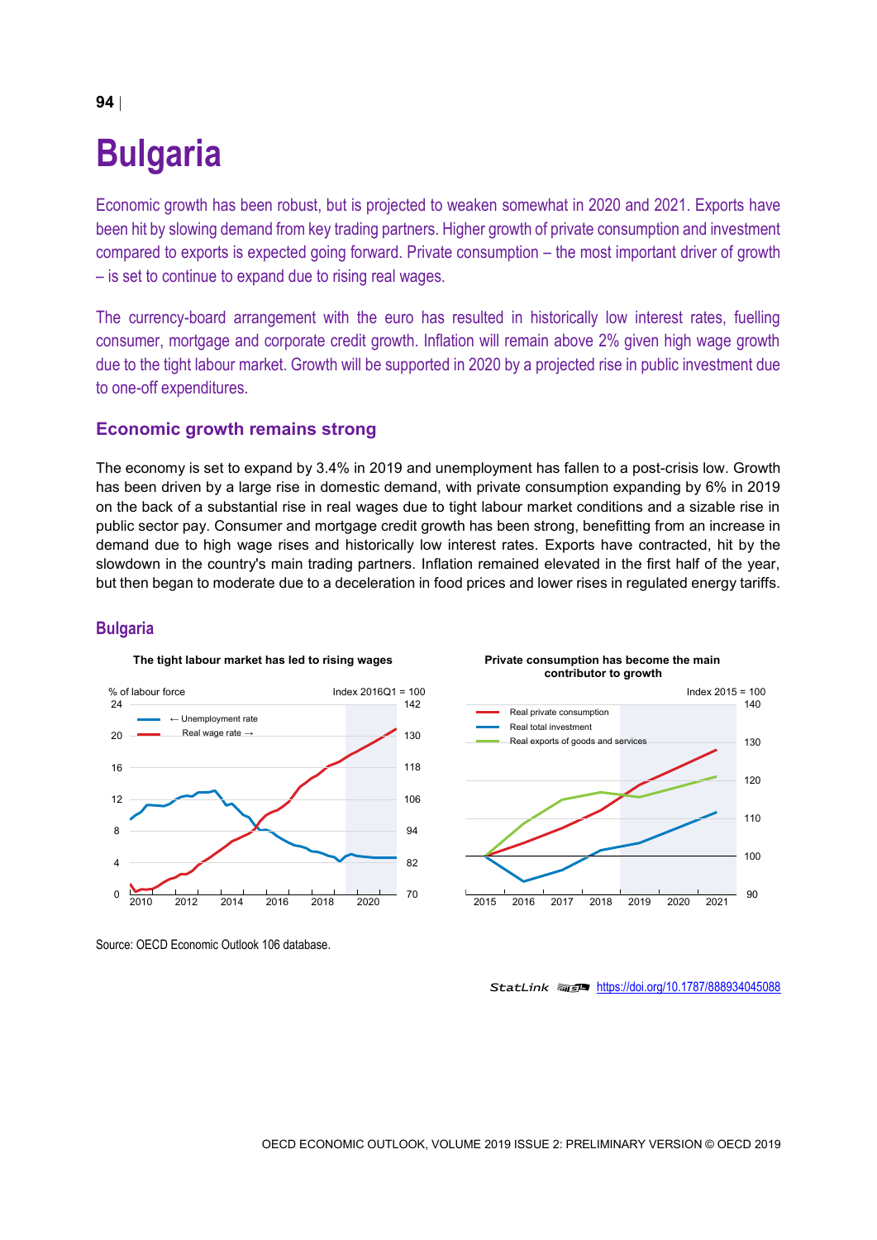# **Bulgaria**

Economic growth has been robust, but is projected to weaken somewhat in 2020 and 2021. Exports have been hit by slowing demand from key trading partners. Higher growth of private consumption and investment compared to exports is expected going forward. Private consumption – the most important driver of growth – is set to continue to expand due to rising real wages.

The currency-board arrangement with the euro has resulted in historically low interest rates, fuelling consumer, mortgage and corporate credit growth. Inflation will remain above 2% given high wage growth due to the tight labour market. Growth will be supported in 2020 by a projected rise in public investment due to one-off expenditures.

#### **Economic growth remains strong**

The economy is set to expand by 3.4% in 2019 and unemployment has fallen to a post-crisis low. Growth has been driven by a large rise in domestic demand, with private consumption expanding by 6% in 2019 on the back of a substantial rise in real wages due to tight labour market conditions and a sizable rise in public sector pay. Consumer and mortgage credit growth has been strong, benefitting from an increase in demand due to high wage rises and historically low interest rates. Exports have contracted, hit by the slowdown in the country's main trading partners. Inflation remained elevated in the first half of the year, but then began to moderate due to a deceleration in food prices and lower rises in regulated energy tariffs.

#### **Bulgaria**



Source: OECD Economic Outlook 106 database.



StatLink 2<https://doi.org/10.1787/888934045088>

# **94**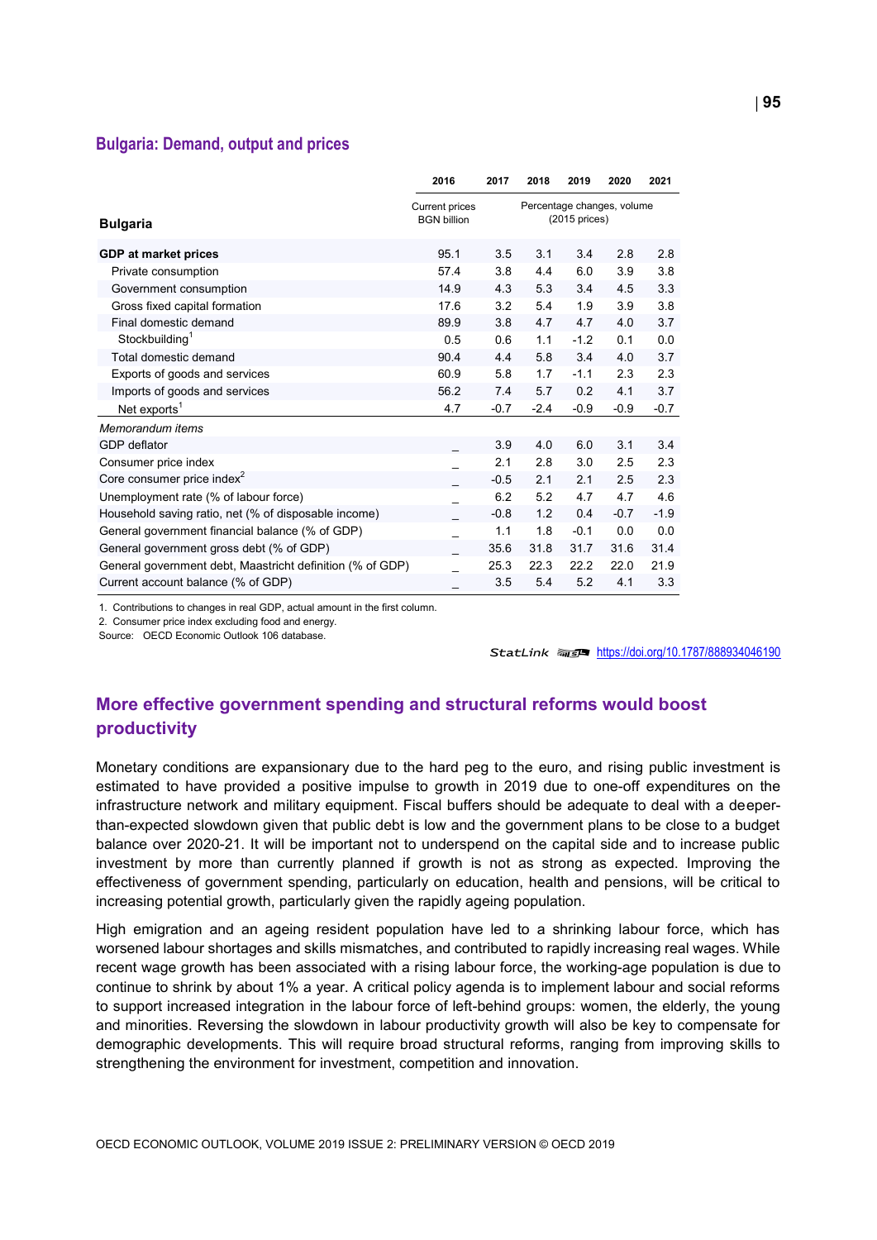#### **Bulgaria: Demand, output and prices**

|                                                           | 2016                                        | 2017   | 2018                                           | 2019   | 2020   | 2021   |  |
|-----------------------------------------------------------|---------------------------------------------|--------|------------------------------------------------|--------|--------|--------|--|
| <b>Bulgaria</b>                                           | <b>Current prices</b><br><b>BGN billion</b> |        | Percentage changes, volume<br>$(2015)$ prices) |        |        |        |  |
| <b>GDP at market prices</b>                               | 95.1                                        | 3.5    | 3.1                                            | 3.4    | 2.8    | 2.8    |  |
| Private consumption                                       | 57.4                                        | 3.8    | 4.4                                            | 6.0    | 3.9    | 3.8    |  |
| Government consumption                                    | 14.9                                        | 4.3    | 5.3                                            | 3.4    | 4.5    | 3.3    |  |
| Gross fixed capital formation                             | 17.6                                        | 3.2    | 5.4                                            | 1.9    | 3.9    | 3.8    |  |
| Final domestic demand                                     | 89.9                                        | 3.8    | 4.7                                            | 4.7    | 4.0    | 3.7    |  |
| Stockbuilding <sup>1</sup>                                | 0.5                                         | 0.6    | 1.1                                            | $-1.2$ | 0.1    | 0.0    |  |
| Total domestic demand                                     | 90.4                                        | 4.4    | 5.8                                            | 3.4    | 4.0    | 3.7    |  |
| Exports of goods and services                             | 60.9                                        | 5.8    | 1.7                                            | $-1.1$ | 2.3    | 2.3    |  |
| Imports of goods and services                             | 56.2                                        | 7.4    | 5.7                                            | 0.2    | 4.1    | 3.7    |  |
| Net exports <sup>1</sup>                                  | 4.7                                         | $-0.7$ | $-2.4$                                         | $-0.9$ | $-0.9$ | $-0.7$ |  |
| Memorandum items                                          |                                             |        |                                                |        |        |        |  |
| <b>GDP</b> deflator                                       |                                             | 3.9    | 4.0                                            | 6.0    | 3.1    | 3.4    |  |
| Consumer price index                                      |                                             | 2.1    | 2.8                                            | 3.0    | 2.5    | 2.3    |  |
| Core consumer price index <sup>2</sup>                    |                                             | $-0.5$ | 2.1                                            | 2.1    | 2.5    | 2.3    |  |
| Unemployment rate (% of labour force)                     |                                             | 6.2    | 5.2                                            | 4.7    | 4.7    | 4.6    |  |
| Household saving ratio, net (% of disposable income)      |                                             | $-0.8$ | 1.2                                            | 0.4    | $-0.7$ | $-1.9$ |  |
| General government financial balance (% of GDP)           |                                             | 1.1    | 1.8                                            | $-0.1$ | 0.0    | 0.0    |  |
| General government gross debt (% of GDP)                  |                                             | 35.6   | 31.8                                           | 31.7   | 31.6   | 31.4   |  |
| General government debt, Maastricht definition (% of GDP) |                                             | 25.3   | 22.3                                           | 22.2   | 22.0   | 21.9   |  |
| Current account balance (% of GDP)                        |                                             | 3.5    | 5.4                                            | 5.2    | 4.1    | 3.3    |  |

1. Contributions to changes in real GDP, actual amount in the first column.

2. Consumer price index excluding food and energy.

Source: OECD Economic Outlook 106 database.

StatLink 2019 <https://doi.org/10.1787/888934046190>

## **More effective government spending and structural reforms would boost productivity**

Monetary conditions are expansionary due to the hard peg to the euro, and rising public investment is estimated to have provided a positive impulse to growth in 2019 due to one-off expenditures on the infrastructure network and military equipment. Fiscal buffers should be adequate to deal with a deeperthan-expected slowdown given that public debt is low and the government plans to be close to a budget balance over 2020-21. It will be important not to underspend on the capital side and to increase public investment by more than currently planned if growth is not as strong as expected. Improving the effectiveness of government spending, particularly on education, health and pensions, will be critical to increasing potential growth, particularly given the rapidly ageing population.

High emigration and an ageing resident population have led to a shrinking labour force, which has worsened labour shortages and skills mismatches, and contributed to rapidly increasing real wages. While recent wage growth has been associated with a rising labour force, the working-age population is due to continue to shrink by about 1% a year. A critical policy agenda is to implement labour and social reforms to support increased integration in the labour force of left-behind groups: women, the elderly, the young and minorities. Reversing the slowdown in labour productivity growth will also be key to compensate for demographic developments. This will require broad structural reforms, ranging from improving skills to strengthening the environment for investment, competition and innovation.